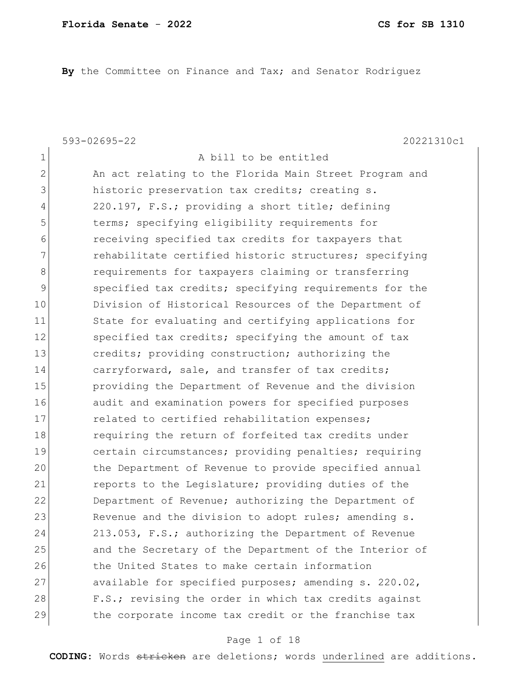**By** the Committee on Finance and Tax; and Senator Rodriguez

1 a bill to be entitled

593-02695-22 20221310c1

2 An act relating to the Florida Main Street Program and 3 historic preservation tax credits; creating s. 4 220.197, F.S.; providing a short title; defining 5 terms; specifying eligibility requirements for 6 receiving specified tax credits for taxpayers that 7 rehabilitate certified historic structures; specifying 8 8 requirements for taxpayers claiming or transferring 9 specified tax credits; specifying requirements for the 10 Division of Historical Resources of the Department of 11 State for evaluating and certifying applications for 12 Specified tax credits; specifying the amount of tax 13 credits; providing construction; authorizing the 14 carryforward, sale, and transfer of tax credits; 15 **providing the Department of Revenue and the division** 16 audit and examination powers for specified purposes 17 17 related to certified rehabilitation expenses; 18 requiring the return of forfeited tax credits under 19 certain circumstances; providing penalties; requiring 20 the Department of Revenue to provide specified annual 21 reports to the Legislature; providing duties of the 22 Department of Revenue; authorizing the Department of 23 Revenue and the division to adopt rules; amending s. 24 213.053, F.S.; authorizing the Department of Revenue 25 and the Secretary of the Department of the Interior of 26 the United States to make certain information 27 available for specified purposes; amending s. 220.02, 28 F.S.; revising the order in which tax credits against 29 the corporate income tax credit or the franchise tax

### Page 1 of 18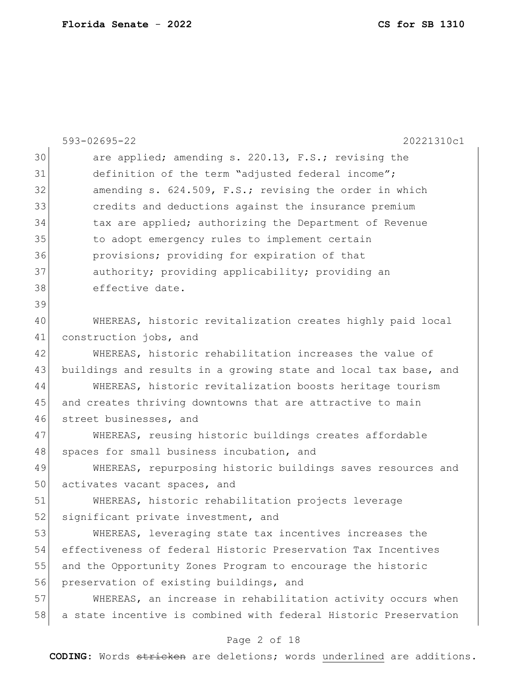|    | 593-02695-22<br>20221310c1                                       |
|----|------------------------------------------------------------------|
| 30 | are applied; amending s. 220.13, F.S.; revising the              |
| 31 | definition of the term "adjusted federal income";                |
| 32 | amending s. 624.509, F.S.; revising the order in which           |
| 33 | credits and deductions against the insurance premium             |
| 34 | tax are applied; authorizing the Department of Revenue           |
| 35 | to adopt emergency rules to implement certain                    |
| 36 | provisions; providing for expiration of that                     |
| 37 | authority; providing applicability; providing an                 |
| 38 | effective date.                                                  |
| 39 |                                                                  |
| 40 | WHEREAS, historic revitalization creates highly paid local       |
| 41 | construction jobs, and                                           |
| 42 | WHEREAS, historic rehabilitation increases the value of          |
| 43 | buildings and results in a growing state and local tax base, and |
| 44 | WHEREAS, historic revitalization boosts heritage tourism         |
| 45 | and creates thriving downtowns that are attractive to main       |
| 46 | street businesses, and                                           |
| 47 | WHEREAS, reusing historic buildings creates affordable           |
| 48 | spaces for small business incubation, and                        |
| 49 | WHEREAS, repurposing historic buildings saves resources and      |
| 50 | activates vacant spaces, and                                     |
| 51 | WHEREAS, historic rehabilitation projects leverage               |
| 52 | significant private investment, and                              |
| 53 | WHEREAS, leveraging state tax incentives increases the           |
| 54 | effectiveness of federal Historic Preservation Tax Incentives    |
| 55 | and the Opportunity Zones Program to encourage the historic      |
| 56 | preservation of existing buildings, and                          |
| 57 | WHEREAS, an increase in rehabilitation activity occurs when      |
| 58 | a state incentive is combined with federal Historic Preservation |
|    | Page 2 of 18                                                     |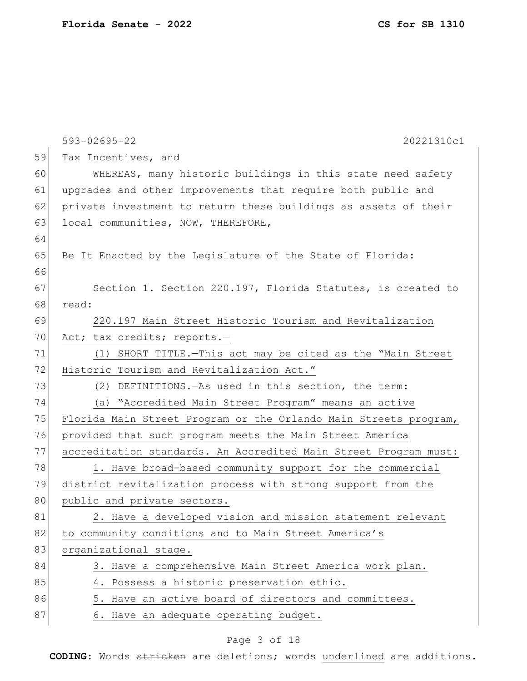|    | $593 - 02695 - 22$<br>20221310c1                                 |
|----|------------------------------------------------------------------|
| 59 | Tax Incentives, and                                              |
| 60 | WHEREAS, many historic buildings in this state need safety       |
| 61 | upgrades and other improvements that require both public and     |
| 62 | private investment to return these buildings as assets of their  |
| 63 | local communities, NOW, THEREFORE,                               |
| 64 |                                                                  |
| 65 | Be It Enacted by the Legislature of the State of Florida:        |
| 66 |                                                                  |
| 67 | Section 1. Section 220.197, Florida Statutes, is created to      |
| 68 | read:                                                            |
| 69 | 220.197 Main Street Historic Tourism and Revitalization          |
| 70 | Act; tax credits; reports.-                                      |
| 71 | (1) SHORT TITLE. - This act may be cited as the "Main Street     |
| 72 | Historic Tourism and Revitalization Act."                        |
| 73 | (2) DEFINITIONS. - As used in this section, the term:            |
| 74 | (a) "Accredited Main Street Program" means an active             |
| 75 | Florida Main Street Program or the Orlando Main Streets program, |
| 76 | provided that such program meets the Main Street America         |
| 77 | accreditation standards. An Accredited Main Street Program must: |
| 78 | 1. Have broad-based community support for the commercial         |
| 79 | district revitalization process with strong support from the     |
| 80 | public and private sectors.                                      |
| 81 | 2. Have a developed vision and mission statement relevant        |
| 82 | to community conditions and to Main Street America's             |
| 83 | organizational stage.                                            |
| 84 | 3. Have a comprehensive Main Street America work plan.           |
| 85 | 4. Possess a historic preservation ethic.                        |
| 86 | 5. Have an active board of directors and committees.             |
| 87 | 6. Have an adequate operating budget.                            |

# Page 3 of 18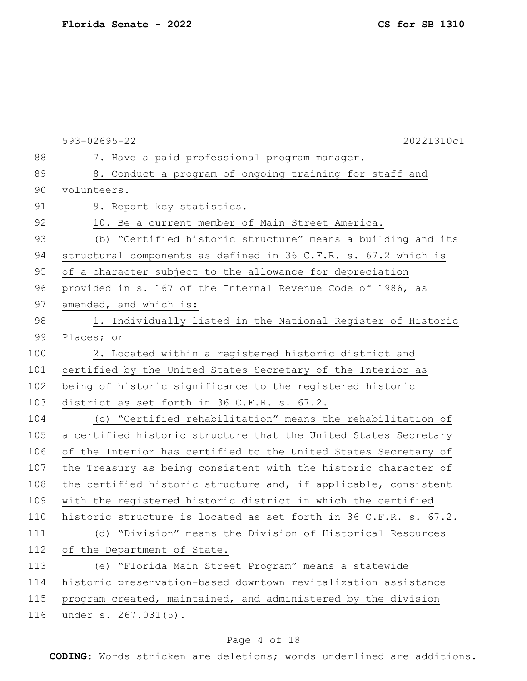| CS for SB 1310 |  |
|----------------|--|
|----------------|--|

|     | 593-02695-22<br>20221310c1                                       |
|-----|------------------------------------------------------------------|
| 88  | 7. Have a paid professional program manager.                     |
| 89  | 8. Conduct a program of ongoing training for staff and           |
| 90  | volunteers.                                                      |
| 91  | 9. Report key statistics.                                        |
| 92  | 10. Be a current member of Main Street America.                  |
| 93  | (b) "Certified historic structure" means a building and its      |
| 94  | structural components as defined in 36 C.F.R. s. 67.2 which is   |
| 95  | of a character subject to the allowance for depreciation         |
| 96  | provided in s. 167 of the Internal Revenue Code of 1986, as      |
| 97  | amended, and which is:                                           |
| 98  | 1. Individually listed in the National Register of Historic      |
| 99  | Places; or                                                       |
| 100 | 2. Located within a registered historic district and             |
| 101 | certified by the United States Secretary of the Interior as      |
| 102 | being of historic significance to the registered historic        |
| 103 | district as set forth in 36 C.F.R. s. 67.2.                      |
| 104 | (c) "Certified rehabilitation" means the rehabilitation of       |
| 105 | a certified historic structure that the United States Secretary  |
| 106 | of the Interior has certified to the United States Secretary of  |
| 107 | the Treasury as being consistent with the historic character of  |
| 108 | the certified historic structure and, if applicable, consistent  |
| 109 | with the registered historic district in which the certified     |
| 110 | historic structure is located as set forth in 36 C.F.R. s. 67.2. |
| 111 | (d) "Division" means the Division of Historical Resources        |
| 112 | of the Department of State.                                      |
| 113 | (e) "Florida Main Street Program" means a statewide              |
| 114 | historic preservation-based downtown revitalization assistance   |
| 115 | program created, maintained, and administered by the division    |
| 116 | under s. 267.031(5).                                             |

# Page 4 of 18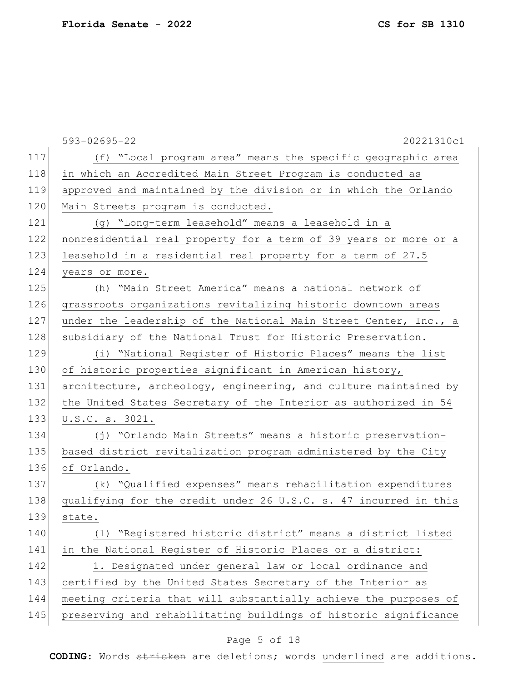593-02695-22 20221310c1 117 (f) "Local program area" means the specific geographic area 118 in which an Accredited Main Street Program is conducted as 119 approved and maintained by the division or in which the Orlando 120 Main Streets program is conducted. 121 (g) "Long-term leasehold" means a leasehold in a 122 nonresidential real property for a term of 39 years or more or a 123 leasehold in a residential real property for a term of 27.5 124 years or more. 125 (h) "Main Street America" means a national network of 126 grassroots organizations revitalizing historic downtown areas 127 under the leadership of the National Main Street Center, Inc., a 128 | subsidiary of the National Trust for Historic Preservation. 129 (i) "National Register of Historic Places" means the list 130 of historic properties significant in American history, 131 architecture, archeology, engineering, and culture maintained by 132 the United States Secretary of the Interior as authorized in 54 133 U.S.C. s. 3021. 134 (j) "Orlando Main Streets" means a historic preservation-135 based district revitalization program administered by the City 136 of Orlando. 137 (k) "Qualified expenses" means rehabilitation expenditures 138 qualifying for the credit under 26 U.S.C. s. 47 incurred in this 139 state. 140 (l) "Registered historic district" means a district listed 141 in the National Register of Historic Places or a district: 142 1. Designated under general law or local ordinance and 143 certified by the United States Secretary of the Interior as 144 meeting criteria that will substantially achieve the purposes of 145 preserving and rehabilitating buildings of historic significance

### Page 5 of 18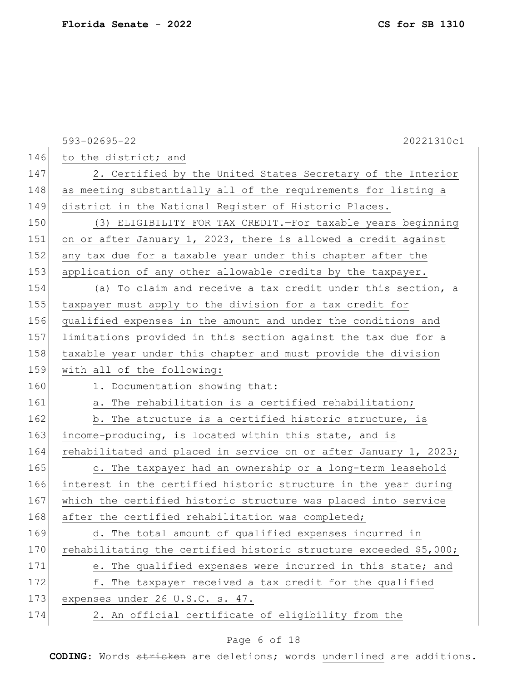593-02695-22 20221310c1 146 to the district; and 147 2. Certified by the United States Secretary of the Interior 148 as meeting substantially all of the requirements for listing a 149 district in the National Register of Historic Places. 150 (3) ELIGIBILITY FOR TAX CREDIT.—For taxable years beginning 151 on or after January 1, 2023, there is allowed a credit against 152 any tax due for a taxable year under this chapter after the 153 application of any other allowable credits by the taxpayer. 154 (a) To claim and receive a tax credit under this section, a 155 taxpayer must apply to the division for a tax credit for 156 qualified expenses in the amount and under the conditions and 157 limitations provided in this section against the tax due for a 158 taxable year under this chapter and must provide the division 159 with all of the following: 160 1. Documentation showing that: 161 a. The rehabilitation is a certified rehabilitation; 162 b. The structure is a certified historic structure, is 163 income-producing, is located within this state, and is 164 rehabilitated and placed in service on or after January 1, 2023; 165 c. The taxpayer had an ownership or a long-term leasehold 166 interest in the certified historic structure in the year during 167 which the certified historic structure was placed into service 168 after the certified rehabilitation was completed; 169 d. The total amount of qualified expenses incurred in 170 rehabilitating the certified historic structure exceeded  $$5,000$ ; 171 e. The qualified expenses were incurred in this state; and 172 f. The taxpayer received a tax credit for the qualified 173 expenses under 26 U.S.C. s. 47. 174 2. An official certificate of eligibility from the

### Page 6 of 18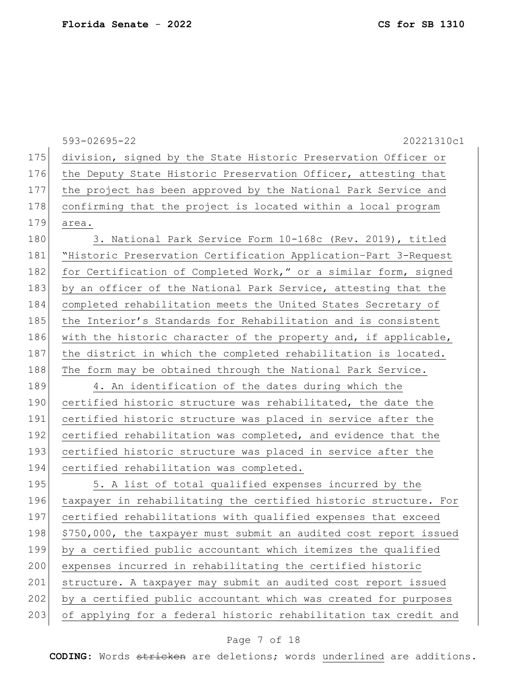593-02695-22 20221310c1 175 division, signed by the State Historic Preservation Officer or 176 the Deputy State Historic Preservation Officer, attesting that 177 the project has been approved by the National Park Service and 178 confirming that the project is located within a local program 179 area. 180 3. National Park Service Form 10-168c (Rev. 2019), titled 181 "Historic Preservation Certification Application–Part 3-Request 182 for Certification of Completed Work," or a similar form, signed 183 by an officer of the National Park Service, attesting that the 184 completed rehabilitation meets the United States Secretary of 185 the Interior's Standards for Rehabilitation and is consistent 186 with the historic character of the property and, if applicable, 187 the district in which the completed rehabilitation is located. 188 The form may be obtained through the National Park Service. 189 4. An identification of the dates during which the 190 certified historic structure was rehabilitated, the date the 191 certified historic structure was placed in service after the 192 certified rehabilitation was completed, and evidence that the 193 certified historic structure was placed in service after the 194 certified rehabilitation was completed. 195 5. A list of total qualified expenses incurred by the 196 taxpayer in rehabilitating the certified historic structure. For 197 certified rehabilitations with qualified expenses that exceed 198 \$750,000, the taxpayer must submit an audited cost report issued 199 by a certified public accountant which itemizes the qualified 200 expenses incurred in rehabilitating the certified historic 201 structure. A taxpayer may submit an audited cost report issued 202 by a certified public accountant which was created for purposes 203 of applying for a federal historic rehabilitation tax credit and

### Page 7 of 18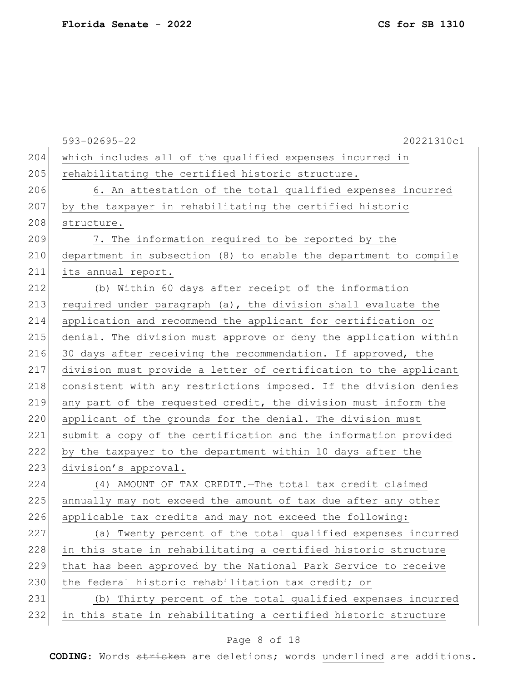|     | 593-02695-22<br>20221310c1                                       |
|-----|------------------------------------------------------------------|
| 204 | which includes all of the qualified expenses incurred in         |
| 205 | rehabilitating the certified historic structure.                 |
| 206 | 6. An attestation of the total qualified expenses incurred       |
| 207 | by the taxpayer in rehabilitating the certified historic         |
| 208 | structure.                                                       |
| 209 | 7. The information required to be reported by the                |
| 210 | department in subsection (8) to enable the department to compile |
| 211 | its annual report.                                               |
| 212 | (b) Within 60 days after receipt of the information              |
| 213 | required under paragraph (a), the division shall evaluate the    |
| 214 | application and recommend the applicant for certification or     |
| 215 | denial. The division must approve or deny the application within |
| 216 | 30 days after receiving the recommendation. If approved, the     |
| 217 | division must provide a letter of certification to the applicant |
| 218 | consistent with any restrictions imposed. If the division denies |
| 219 | any part of the requested credit, the division must inform the   |
| 220 | applicant of the grounds for the denial. The division must       |
| 221 | submit a copy of the certification and the information provided  |
| 222 | by the taxpayer to the department within 10 days after the       |
| 223 | division's approval.                                             |
| 224 | (4) AMOUNT OF TAX CREDIT. The total tax credit claimed           |
| 225 | annually may not exceed the amount of tax due after any other    |
| 226 | applicable tax credits and may not exceed the following:         |
| 227 | (a) Twenty percent of the total qualified expenses incurred      |
| 228 | in this state in rehabilitating a certified historic structure   |
| 229 | that has been approved by the National Park Service to receive   |
| 230 | the federal historic rehabilitation tax credit; or               |
| 231 | (b) Thirty percent of the total qualified expenses incurred      |
| 232 | in this state in rehabilitating a certified historic structure   |
|     |                                                                  |

# Page 8 of 18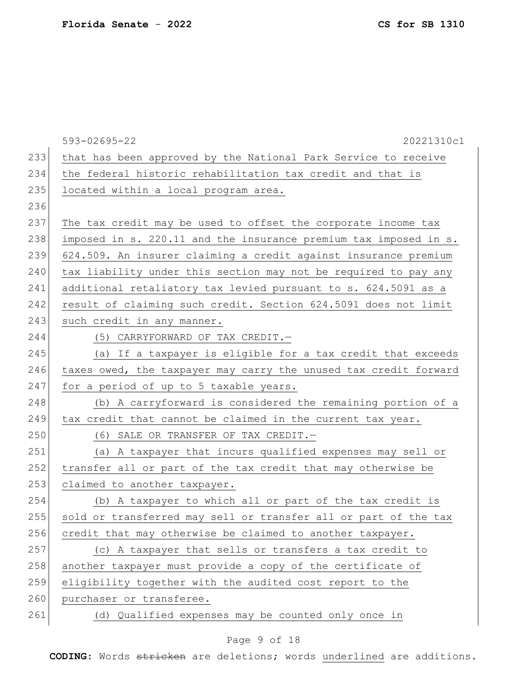|     | $593 - 02695 - 22$<br>20221310c1                                 |
|-----|------------------------------------------------------------------|
| 233 | that has been approved by the National Park Service to receive   |
| 234 | the federal historic rehabilitation tax credit and that is       |
| 235 | located within a local program area.                             |
| 236 |                                                                  |
| 237 | The tax credit may be used to offset the corporate income tax    |
| 238 | imposed in s. 220.11 and the insurance premium tax imposed in s. |
| 239 | 624.509. An insurer claiming a credit against insurance premium  |
| 240 | tax liability under this section may not be required to pay any  |
| 241 | additional retaliatory tax levied pursuant to s. 624.5091 as a   |
| 242 | result of claiming such credit. Section 624.5091 does not limit  |
| 243 | such credit in any manner.                                       |
| 244 | (5) CARRYFORWARD OF TAX CREDIT.-                                 |
| 245 | (a) If a taxpayer is eligible for a tax credit that exceeds      |
| 246 | taxes owed, the taxpayer may carry the unused tax credit forward |
| 247 | for a period of up to 5 taxable years.                           |
| 248 | (b) A carryforward is considered the remaining portion of a      |
| 249 | tax credit that cannot be claimed in the current tax year.       |
| 250 | (6) SALE OR TRANSFER OF TAX CREDIT.-                             |
| 251 | (a) A taxpayer that incurs qualified expenses may sell or        |
| 252 | transfer all or part of the tax credit that may otherwise be     |
| 253 | claimed to another taxpayer.                                     |
| 254 | (b) A taxpayer to which all or part of the tax credit is         |
| 255 | sold or transferred may sell or transfer all or part of the tax  |
| 256 | credit that may otherwise be claimed to another taxpayer.        |
| 257 | (c) A taxpayer that sells or transfers a tax credit to           |
| 258 | another taxpayer must provide a copy of the certificate of       |
| 259 | eligibility together with the audited cost report to the         |
| 260 | purchaser or transferee.                                         |
| 261 | (d) Qualified expenses may be counted only once in               |

# Page 9 of 18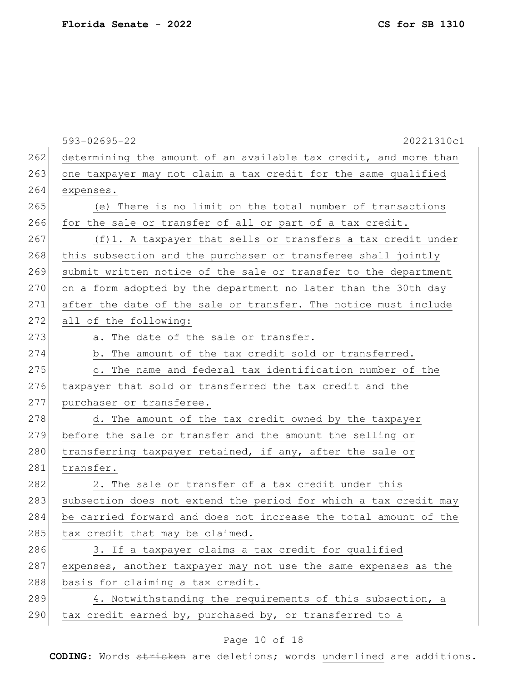593-02695-22 20221310c1 262 determining the amount of an available tax credit, and more than 263 one taxpayer may not claim a tax credit for the same qualified 264 expenses. 265 (e) There is no limit on the total number of transactions 266 for the sale or transfer of all or part of a tax credit. 267 (f)1. A taxpayer that sells or transfers a tax credit under 268 this subsection and the purchaser or transferee shall jointly 269 submit written notice of the sale or transfer to the department 270 on a form adopted by the department no later than the 30th day 271 after the date of the sale or transfer. The notice must include 272 all of the following: 273 a. The date of the sale or transfer. 274 b. The amount of the tax credit sold or transferred. 275 c. The name and federal tax identification number of the 276 taxpayer that sold or transferred the tax credit and the 277 purchaser or transferee. 278 d. The amount of the tax credit owned by the taxpayer 279 before the sale or transfer and the amount the selling or 280 transferring taxpayer retained, if any, after the sale or 281 transfer. 282 2. The sale or transfer of a tax credit under this 283 subsection does not extend the period for which a tax credit may 284 be carried forward and does not increase the total amount of the  $285$  tax credit that may be claimed. 286 3. If a taxpayer claims a tax credit for qualified 287 expenses, another taxpayer may not use the same expenses as the 288 basis for claiming a tax credit.  $289$  4. Notwithstanding the requirements of this subsection, a 290 tax credit earned by, purchased by, or transferred to a

### Page 10 of 18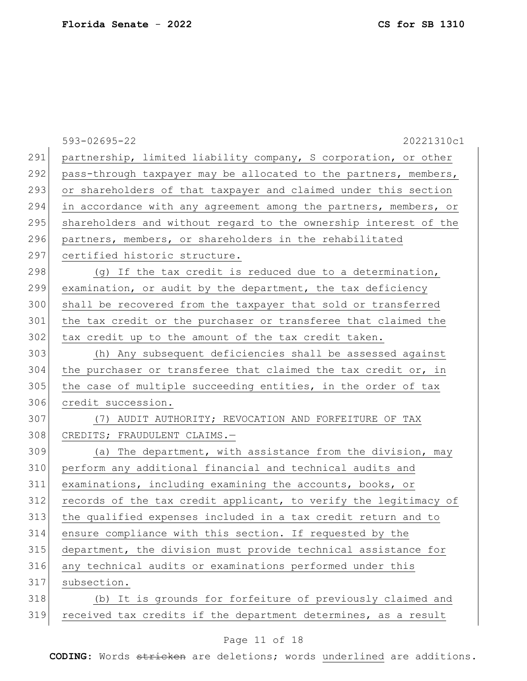|     | 593-02695-22<br>20221310c1                                       |
|-----|------------------------------------------------------------------|
| 291 | partnership, limited liability company, S corporation, or other  |
| 292 | pass-through taxpayer may be allocated to the partners, members, |
| 293 | or shareholders of that taxpayer and claimed under this section  |
| 294 | in accordance with any agreement among the partners, members, or |
| 295 | shareholders and without regard to the ownership interest of the |
| 296 | partners, members, or shareholders in the rehabilitated          |
| 297 | certified historic structure.                                    |
| 298 | (g) If the tax credit is reduced due to a determination,         |
| 299 | examination, or audit by the department, the tax deficiency      |
| 300 | shall be recovered from the taxpayer that sold or transferred    |
| 301 | the tax credit or the purchaser or transferee that claimed the   |
| 302 | tax credit up to the amount of the tax credit taken.             |
| 303 | (h) Any subsequent deficiencies shall be assessed against        |
| 304 | the purchaser or transferee that claimed the tax credit or, in   |
| 305 | the case of multiple succeeding entities, in the order of tax    |
| 306 | credit succession.                                               |
| 307 | (7) AUDIT AUTHORITY; REVOCATION AND FORFEITURE OF TAX            |
| 308 | CREDITS; FRAUDULENT CLAIMS.-                                     |
| 309 | (a) The department, with assistance from the division, may       |
| 310 | perform any additional financial and technical audits and        |
| 311 | examinations, including examining the accounts, books, or        |
| 312 | records of the tax credit applicant, to verify the legitimacy of |
| 313 | the qualified expenses included in a tax credit return and to    |
| 314 | ensure compliance with this section. If requested by the         |
| 315 | department, the division must provide technical assistance for   |
| 316 | any technical audits or examinations performed under this        |
| 317 | subsection.                                                      |
| 318 | (b) It is grounds for forfeiture of previously claimed and       |
| 319 | received tax credits if the department determines, as a result   |

# Page 11 of 18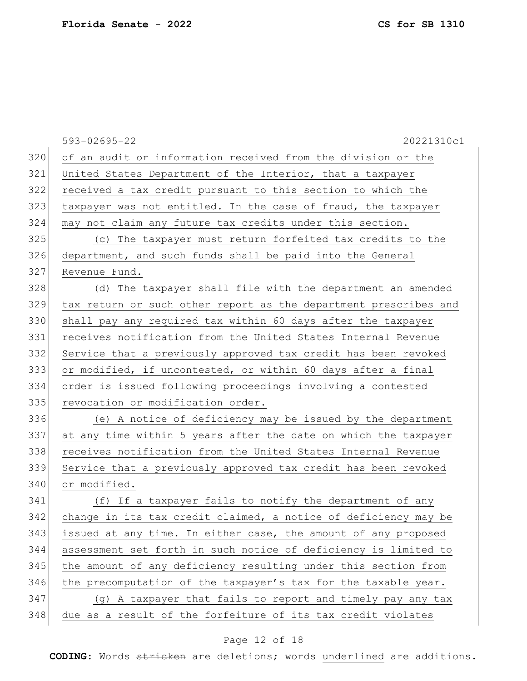593-02695-22 20221310c1 320 of an audit or information received from the division or the 321 United States Department of the Interior, that a taxpayer 322 received a tax credit pursuant to this section to which the 323 taxpayer was not entitled. In the case of fraud, the taxpayer 324 may not claim any future tax credits under this section. 325 (c) The taxpayer must return forfeited tax credits to the 326 department, and such funds shall be paid into the General 327 Revenue Fund. 328 (d) The taxpayer shall file with the department an amended 329 tax return or such other report as the department prescribes and 330 shall pay any required tax within 60 days after the taxpayer 331 receives notification from the United States Internal Revenue 332 Service that a previously approved tax credit has been revoked 333 or modified, if uncontested, or within 60 days after a final 334 order is issued following proceedings involving a contested 335 revocation or modification order. 336 (e) A notice of deficiency may be issued by the department 337 at any time within 5 years after the date on which the taxpayer 338 receives notification from the United States Internal Revenue 339 Service that a previously approved tax credit has been revoked 340 or modified. 341 (f) If a taxpayer fails to notify the department of any 342 change in its tax credit claimed, a notice of deficiency may be 343 issued at any time. In either case, the amount of any proposed 344 assessment set forth in such notice of deficiency is limited to 345 the amount of any deficiency resulting under this section from  $346$  the precomputation of the taxpayer's tax for the taxable year. 347 (g) A taxpayer that fails to report and timely pay any tax 348 due as a result of the forfeiture of its tax credit violates

#### Page 12 of 18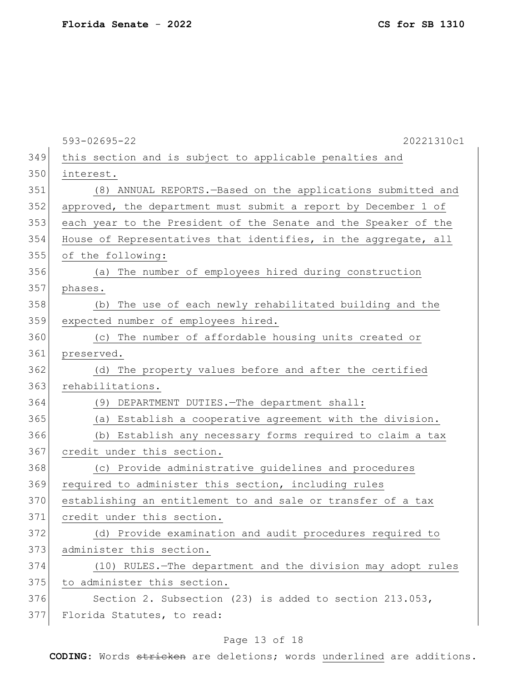|     | 593-02695-22<br>20221310c1                                      |
|-----|-----------------------------------------------------------------|
| 349 | this section and is subject to applicable penalties and         |
| 350 | interest.                                                       |
| 351 | (8) ANNUAL REPORTS. - Based on the applications submitted and   |
| 352 | approved, the department must submit a report by December 1 of  |
| 353 | each year to the President of the Senate and the Speaker of the |
| 354 | House of Representatives that identifies, in the aggregate, all |
| 355 | of the following:                                               |
| 356 | (a) The number of employees hired during construction           |
| 357 | phases.                                                         |
| 358 | (b) The use of each newly rehabilitated building and the        |
| 359 | expected number of employees hired.                             |
| 360 | (c) The number of affordable housing units created or           |
| 361 | preserved.                                                      |
| 362 | (d) The property values before and after the certified          |
| 363 | rehabilitations.                                                |
| 364 | (9) DEPARTMENT DUTIES. - The department shall:                  |
| 365 | (a) Establish a cooperative agreement with the division.        |
| 366 | (b) Establish any necessary forms required to claim a tax       |
| 367 | credit under this section.                                      |
| 368 | (c) Provide administrative guidelines and procedures            |
| 369 | required to administer this section, including rules            |
| 370 | establishing an entitlement to and sale or transfer of a tax    |
| 371 | credit under this section.                                      |
| 372 | (d) Provide examination and audit procedures required to        |
| 373 | administer this section.                                        |
| 374 | (10) RULES.-The department and the division may adopt rules     |
| 375 | to administer this section.                                     |
| 376 | Section 2. Subsection (23) is added to section 213.053,         |
| 377 | Florida Statutes, to read:                                      |

# Page 13 of 18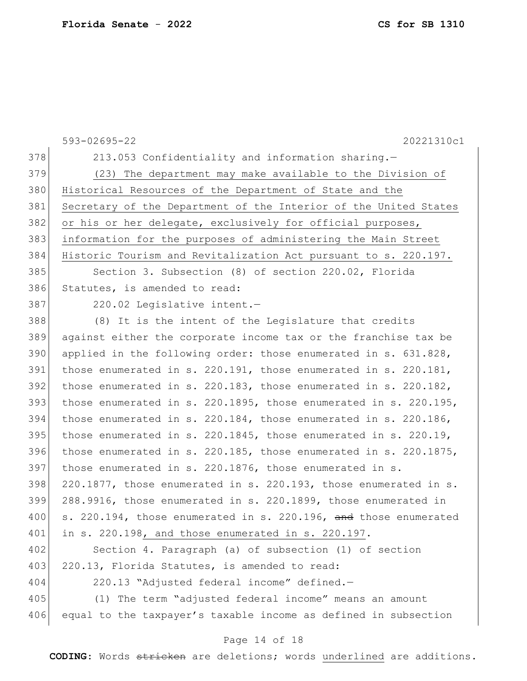593-02695-22 20221310c1 378 213.053 Confidentiality and information sharing.-379 (23) The department may make available to the Division of 380 Historical Resources of the Department of State and the 381 Secretary of the Department of the Interior of the United States 382 or his or her delegate, exclusively for official purposes, 383 information for the purposes of administering the Main Street 384 Historic Tourism and Revitalization Act pursuant to s. 220.197. 385 Section 3. Subsection (8) of section 220.02, Florida 386 Statutes, is amended to read: 387 220.02 Legislative intent. 388 (8) It is the intent of the Legislature that credits 389 against either the corporate income tax or the franchise tax be 390 applied in the following order: those enumerated in s. 631.828, 391 those enumerated in s. 220.191, those enumerated in s. 220.181,  $392$  those enumerated in s. 220.183, those enumerated in s. 220.182, 393 those enumerated in s. 220.1895, those enumerated in s. 220.195, 394 those enumerated in s. 220.184, those enumerated in s. 220.186, 395 those enumerated in s. 220.1845, those enumerated in s. 220.19, 396 those enumerated in s. 220.185, those enumerated in s. 220.1875,  $397$  those enumerated in s. 220.1876, those enumerated in s.  $398$  220.1877, those enumerated in s. 220.193, those enumerated in s. 399 288.9916, those enumerated in s. 220.1899, those enumerated in 400 | s. 220.194, those enumerated in s. 220.196, and those enumerated 401 in s. 220.198, and those enumerated in s. 220.197. 402 Section 4. Paragraph (a) of subsection (1) of section 403 220.13, Florida Statutes, is amended to read: 404 220.13 "Adjusted federal income" defined.— 405 (1) The term "adjusted federal income" means an amount 406 equal to the taxpayer's taxable income as defined in subsection

#### Page 14 of 18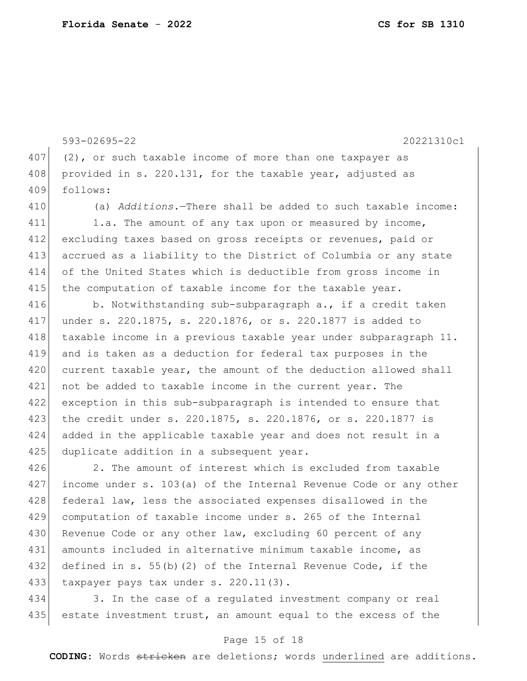593-02695-22 20221310c1 407 (2), or such taxable income of more than one taxpayer as 408 provided in s. 220.131, for the taxable year, adjusted as 409 follows: 410 (a) *Additions.*—There shall be added to such taxable income: 411 1.a. The amount of any tax upon or measured by income, 412 excluding taxes based on gross receipts or revenues, paid or 413 accrued as a liability to the District of Columbia or any state 414 of the United States which is deductible from gross income in 415 the computation of taxable income for the taxable year.  $416$  b. Notwithstanding sub-subparagraph a., if a credit taken 417 under s. 220.1875, s. 220.1876, or s. 220.1877 is added to 418 taxable income in a previous taxable year under subparagraph 11. 419 and is taken as a deduction for federal tax purposes in the 420 current taxable year, the amount of the deduction allowed shall 421 not be added to taxable income in the current year. The 422 exception in this sub-subparagraph is intended to ensure that 423 the credit under s. 220.1875, s. 220.1876, or s. 220.1877 is 424 added in the applicable taxable year and does not result in a 425 duplicate addition in a subsequent year. 426 2. The amount of interest which is excluded from taxable 427 income under s. 103(a) of the Internal Revenue Code or any other 428 federal law, less the associated expenses disallowed in the 429 computation of taxable income under s. 265 of the Internal 430 Revenue Code or any other law, excluding 60 percent of any 431 amounts included in alternative minimum taxable income, as

432 defined in s. 55(b)(2) of the Internal Revenue Code, if the 433 taxpayer pays tax under s. 220.11(3).

434 3. In the case of a regulated investment company or real 435 estate investment trust, an amount equal to the excess of the

#### Page 15 of 18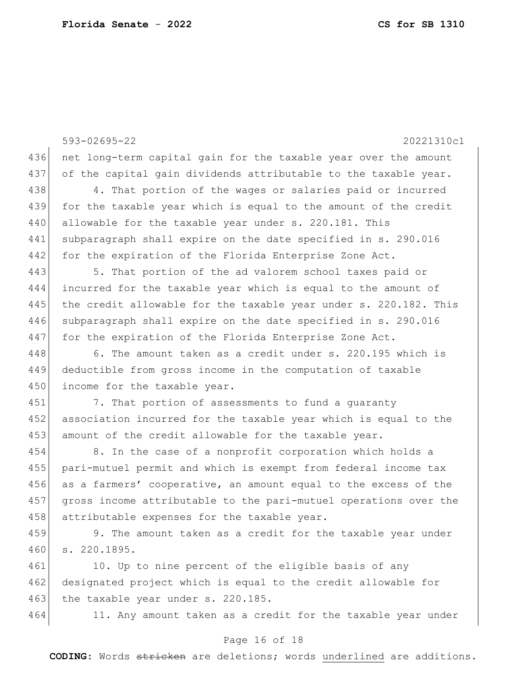593-02695-22 20221310c1 436 net long-term capital gain for the taxable year over the amount 437 of the capital gain dividends attributable to the taxable year. 438 438 4. That portion of the wages or salaries paid or incurred 439 for the taxable year which is equal to the amount of the credit 440 allowable for the taxable year under s. 220.181. This 441 subparagraph shall expire on the date specified in s. 290.016 442 for the expiration of the Florida Enterprise Zone Act. 443 5. That portion of the ad valorem school taxes paid or 444 incurred for the taxable year which is equal to the amount of 445 the credit allowable for the taxable year under s. 220.182. This 446 subparagraph shall expire on the date specified in s. 290.016 447 for the expiration of the Florida Enterprise Zone Act. 448 6. The amount taken as a credit under s. 220.195 which is 449 deductible from gross income in the computation of taxable 450 income for the taxable year. 451 7. That portion of assessments to fund a quaranty 452 association incurred for the taxable year which is equal to the 453 amount of the credit allowable for the taxable year. 454 8. In the case of a nonprofit corporation which holds a 455 pari-mutuel permit and which is exempt from federal income tax 456 as a farmers' cooperative, an amount equal to the excess of the 457 gross income attributable to the pari-mutuel operations over the 458 attributable expenses for the taxable year. 459 9. The amount taken as a credit for the taxable year under 460 s. 220.1895. 461 10. Up to nine percent of the eligible basis of any

462 designated project which is equal to the credit allowable for 463 the taxable year under s. 220.185.

464 11. Any amount taken as a credit for the taxable year under

#### Page 16 of 18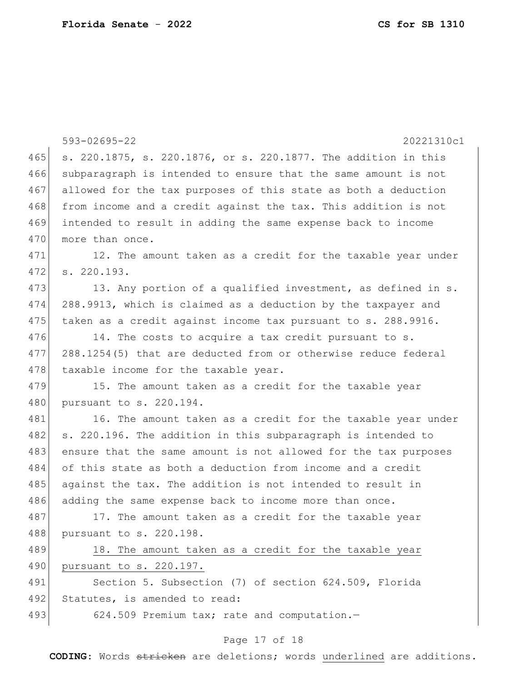|     | 593-02695-22<br>20221310c1                                      |
|-----|-----------------------------------------------------------------|
| 465 | s. 220.1875, s. 220.1876, or s. 220.1877. The addition in this  |
| 466 | subparagraph is intended to ensure that the same amount is not  |
| 467 | allowed for the tax purposes of this state as both a deduction  |
| 468 | from income and a credit against the tax. This addition is not  |
| 469 | intended to result in adding the same expense back to income    |
| 470 | more than once.                                                 |
| 471 | 12. The amount taken as a credit for the taxable year under     |
| 472 | s. 220.193.                                                     |
| 473 | 13. Any portion of a qualified investment, as defined in s.     |
| 474 | 288.9913, which is claimed as a deduction by the taxpayer and   |
| 475 | taken as a credit against income tax pursuant to s. 288.9916.   |
| 476 | 14. The costs to acquire a tax credit pursuant to s.            |
| 477 | 288.1254(5) that are deducted from or otherwise reduce federal  |
| 478 | taxable income for the taxable year.                            |
| 479 | 15. The amount taken as a credit for the taxable year           |
| 480 | pursuant to s. 220.194.                                         |
| 481 | 16. The amount taken as a credit for the taxable year under     |
| 482 | s. 220.196. The addition in this subparagraph is intended to    |
| 483 | ensure that the same amount is not allowed for the tax purposes |
| 484 | of this state as both a deduction from income and a credit      |
| 485 | against the tax. The addition is not intended to result in      |
| 486 | adding the same expense back to income more than once.          |
| 487 | 17. The amount taken as a credit for the taxable year           |
| 488 | pursuant to s. 220.198.                                         |
| 489 | 18. The amount taken as a credit for the taxable year           |
| 490 | pursuant to s. 220.197.                                         |
| 491 | Section 5. Subsection (7) of section 624.509, Florida           |
| 492 | Statutes, is amended to read:                                   |
| 493 | 624.509 Premium tax; rate and computation.-                     |

# Page 17 of 18